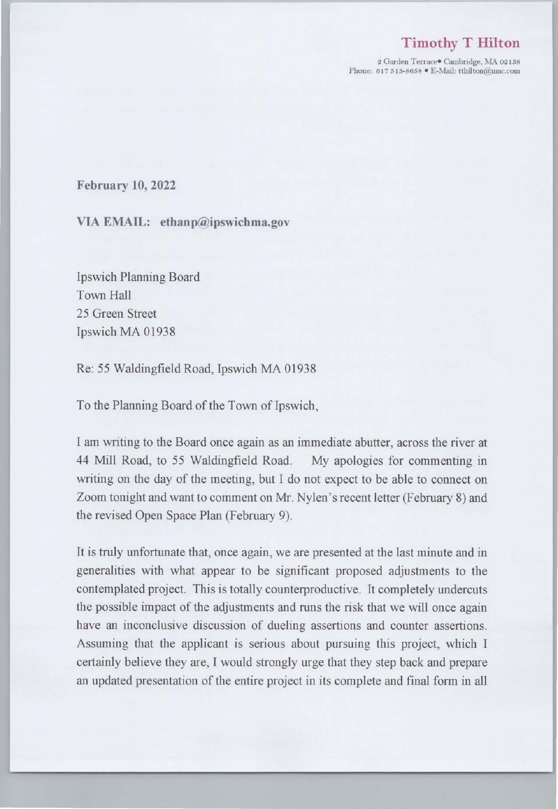## Timoth\_v T Hilton

2 Garden Terrace® Cambridge, MA 02138 Phone: 617 513-8658  $\bullet$  E-Mail: tthilton( $\widehat{a}$ mac.com

February IO, 2022

VIA EMAIL: ethanp@ipswichma.gov

Ipswich Planning Board Town Hall 25 Green Street Ipswich MA 01938

Re: 55 Waldingfield Road, Ipswich MA 01938

To the Planning Board of the Town of Ipswich,

I am writing to the Board once again as an immediate abutter, across the river at 44 Mill Road, to <sup>55</sup> Waldingfield Road. My apologies for commenting in writing on the day of the meeting, but I do not expect to be able to connect on Zoom tonight and want to comment on Mr. Nylen's recent letter (February 8) and the revised Open Space Plan (February 9).

It is tmly unfortunate that, once again, we are presented at the last minute and in generalities with what appear to be significant proposed adjustments to the contemplated project. This is totally counterproductive. It completely undercuts the possible impact of the adjustments and runs the risk that we will once again have an inconclusive discussion of dueling assertions and counter assertions. Assuming that the applicant is serious about pursuing this project, which I certainly believe they are, I would strongly urge that they step back and prepare an updated presentation of the entire project in its complete and final form in all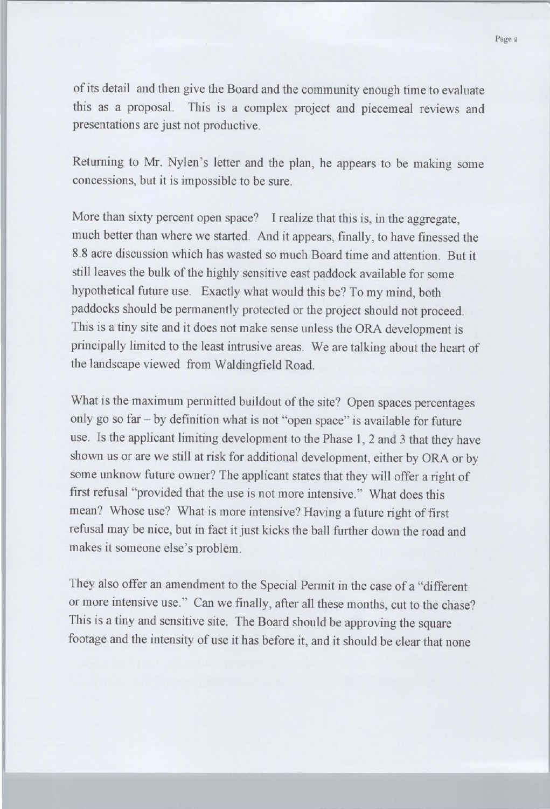of its detail and then give the Board and the community enough time to evaluate this as <sup>a</sup> proposal. This is <sup>a</sup> complex project and piecemeal reviews and presentations are just not productive.

Returning to Mr. Nylen's letter and the plan, he appears to be making some concessions, but it is impossible to be sure.

More than sixty percent open space? I realize that this is, in the aggregate, much better than where we started. And it appears, finally, to have finessed the 8.8 acre discussion which has wasted so much Board time and attention. But it still leaves the bulk of the highly sensitive east paddock available for some hypothetical future use. Exactly what would this be? To my mind, both paddocks should be permanently protected or the project should not proceed. This is <sup>a</sup> tiny site and it does not make sense unless the ORA development is principally limited to the least intrusive areas. We are talking about the heart of the landscape viewed from Waldingfield Road.

What is the maximum permitted buildout of the site? Open spaces percentages only go so far — by definition what is not "open space" is available for future use. ls the applicant limiting development to the Phase l, <sup>2</sup> and <sup>3</sup> that they have shown us or are we still at risk for additional development, either by ORA or by some unknow future owner? The applicant states that they will offer <sup>a</sup> right of first refusal "provided that the use is not more intensive." What does this mean? Whose use? What is more intensive? Having <sup>a</sup> future right of first refusal may be nice, but in fact it just kicks the ball further down the road and makes it someone else's problem.

They also offer an amendment to the Special Permit in the case of <sup>a</sup> "different or more intensive use." Can we finally, after all these months, cut to the chase? This is <sup>a</sup> tiny and sensitive site. The Board should be approving the square footage and the intensity of use it has before it, and it should be clear that none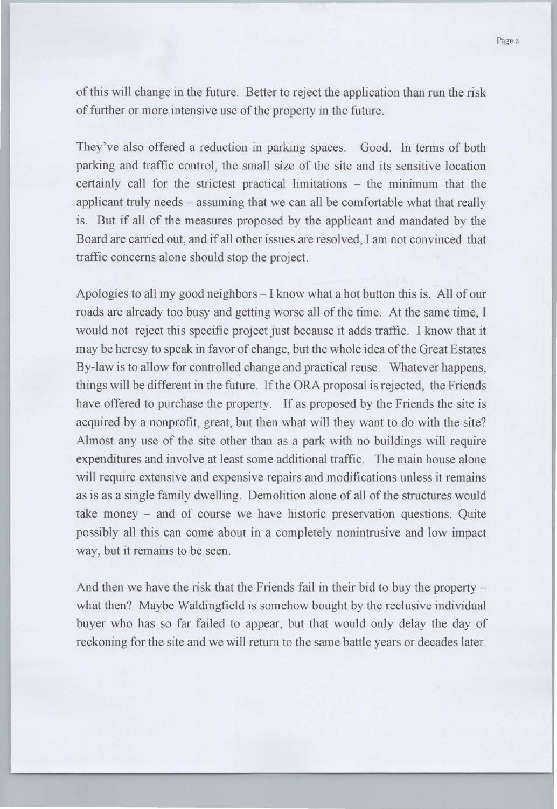of this will change in the future. Better to reject the application than run the risk of further or more intensive use of the property in the future.

They've also offered <sup>a</sup> reduction in parking spaces. Good. In terms of both parking and traffic control, the small size of the site and its sensitive location certainly call for the strictest practical limitations — the minimum that the applicant truly needs – assuming that we can all be comfortable what that really is. But if all of the measures proposed by the applicant and mandated by the Board are carried out, and if all other issues are resolved, I am not convinced that traffic concerns alone should stop the project.

Apologies to all my good neighbors  $-1$  know what a hot button this is. All of our roads are already too busy and getting worse all of the time. At the same time, I would not reject this specific project just because it adds traffic. I know that it may be heresy to speak in favor of change, but the whole idea of the Great Estates By-law is to allow for controlled change and practical reuse. Whatever happens, things will be different in the future. If the ORA proposal is rejected, the Friends have offered to purchase the property. If as proposed by the Friends the site is acquired by <sup>a</sup> nonprofit, great, but then what will they want to do with the site? Almost any use of the site other than as <sup>a</sup> park with no buildings will require expenditures and involve at least some additional traffic. The main house alone will require extensive and expensive repairs and modifications unless it remains as is as a single family dwelling. Demolition alone of all of the structures would take money — and of course we have historic preservation questions. Quite possibly all this can come about in a completely nonintrusive and low impact way, but it remains to be seen.

And then we have the risk that the Friends fail in their bid to buy the property  $$ what then? Maybe Waldingfield is somehow bought by the reclusive individual buyer who has so far failed to appear, but that would only delay the day of reckoning for the site and we will return to the same battle years or decades later.